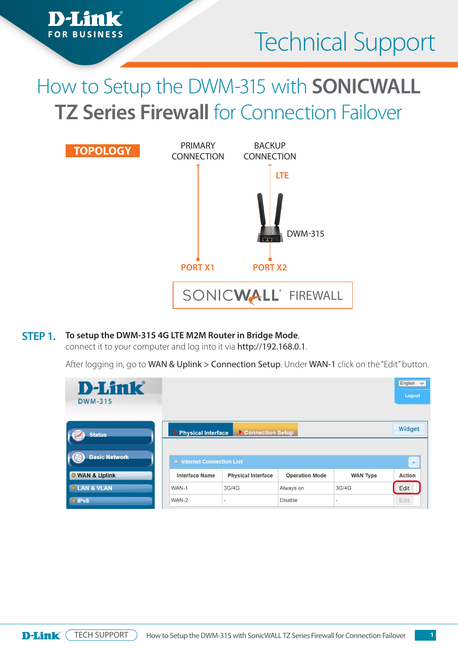

# How to Setup the DWM-315 with **SONICWALL TZ Series Firewall** for Connection Failover



#### **To setup the DWM-315 4G LTE M2M Router in Bridge Mode**, **STEP 1.**

*h*nk

**FOR BUSINESS** 

connect it to your computer and log into it via http://192.168.0.1.

After logging in, go to WAN & Uplink > Connection Setup. Under WAN-1 click on the "Edit" button.

| <b>D-Link</b><br><b>DWM-315</b><br>52 YAYA YA YAYAY AWAN ALIYA |                          |                           |                       |                 | English<br>$\checkmark$<br>Logout |
|----------------------------------------------------------------|--------------------------|---------------------------|-----------------------|-----------------|-----------------------------------|
| <b>Status</b>                                                  | Physical Interface       | Connection Setup          |                       |                 | Widget                            |
| <b>Basic Network</b>                                           | Internet Connection List |                           |                       |                 | $\Delta$                          |
| <b>O</b> WAN & Uplink                                          | <b>Interface Name</b>    | <b>Physical Interface</b> | <b>Operation Mode</b> | <b>WAN Type</b> | <b>Action</b>                     |
| <b><i>• LAN &amp; VLAN</i></b>                                 | WAN-1                    | 3G/4G                     | Always on             | 3G/4G           | Edit                              |
| $\cdot$ IPv6                                                   | WAN-2                    | ٠                         | <b>Disable</b>        | ٠               | Edit                              |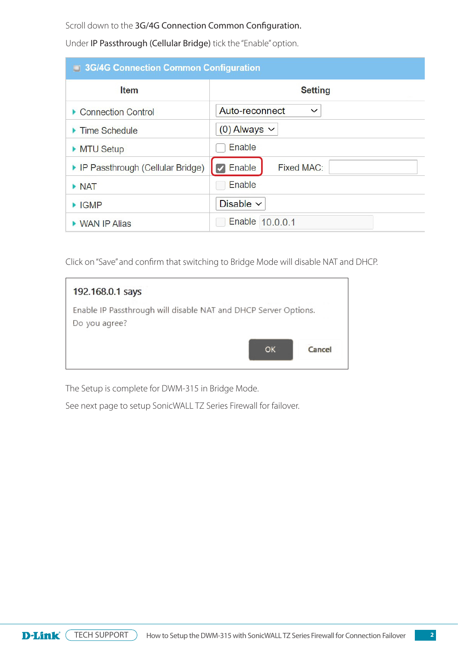Scroll down to the 3G/4G Connection Common Configuration.

Under IP Passthrough (Cellular Bridge) tick the "Enable" option.

| 3G/4G Connection Common Configuration |                                |  |  |  |
|---------------------------------------|--------------------------------|--|--|--|
| Item                                  | <b>Setting</b>                 |  |  |  |
| ▶ Connection Control                  | Auto-reconnect<br>$\checkmark$ |  |  |  |
| ▶ Time Schedule                       | $(0)$ Always $\sim$            |  |  |  |
| MTU Setup                             | Enable                         |  |  |  |
| ▶ IP Passthrough (Cellular Bridge)    | $\vee$ Enable<br>Fixed MAC:    |  |  |  |
| $\triangleright$ NAT                  | Enable                         |  |  |  |
| $\blacktriangleright$ IGMP            | Disable $\vee$                 |  |  |  |
| ▶ WAN IP Alias                        | Enable 10.0.0.1                |  |  |  |

Click on "Save" and confirm that switching to Bridge Mode will disable NAT and DHCP.

| 192.168.0.1 says                                                                 |        |
|----------------------------------------------------------------------------------|--------|
| Enable IP Passthrough will disable NAT and DHCP Server Options.<br>Do you agree? |        |
| OK                                                                               | Cancel |

The Setup is complete for DWM-315 in Bridge Mode.

See next page to setup SonicWALL TZ Series Firewall for failover.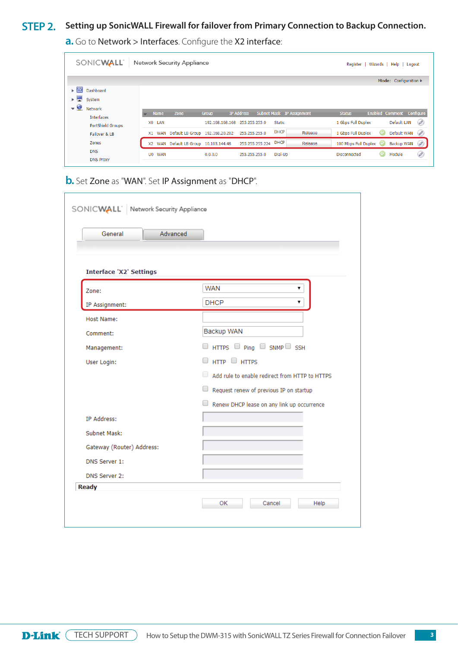#### Setting up SonicWALL Firewall for failover from Primary Connection to Backup Connection.<br> **STEP 2.**

SONICWALL Network Security Appliance Register | Wizards | Help | Logout Mode: Configuration  $\blacktriangleright$   $\boxed{\sim}$  Dashboard  $\blacktriangleright$   $\blacksquare$  System  $\blacktriangleright$   $\blacktriangleright$  Network Name Zone Group IP Address Subnet Mask IP Assignment Enabled Comment Configure **Status** Interfaces Default LAN 2 X0 LAN 192.168.168.168 255.255.255.0 Static 1 Gbps Full Duplex PortShield Groups X1 WAN Default LB Group 192.168.20.202 255.255.255.0  $DHCP$ Default WAN Release 1 Gbps Full Duplex Failover & LB X2 WAN Default LB Group 10.103.144.48 255.255.255.224 DHCP Zones Release 100 Mbps Full Duplex Backup WAN **DNS**  $0.0.0.0$ Module  $\mathscr{D}$ U0 WAN 255.255.255.0 Dial-Up Disconnected » Set **Zone** as **"WAN"**

**a.** Go to Network > Interfaces. Configure the X2 interface:

**b.** Set Zone as "WAN". Set IP Assignment as "DHCP".

| Advanced<br>General            |                                                     |
|--------------------------------|-----------------------------------------------------|
| <b>Interface 'X2' Settings</b> |                                                     |
| Zone:                          | <b>WAN</b><br>7                                     |
| IP Assignment:                 | <b>DHCP</b><br>۷.                                   |
| <b>Host Name:</b>              |                                                     |
| Comment:                       | Backup WAN                                          |
| Management:                    | $\Box$ HTTPS $\Box$ Ping $\Box$ SNMP $\Box$ SSH     |
| User Login:                    | $\Box$ HTTP $\Box$ HTTPS                            |
|                                | U<br>Add rule to enable redirect from HTTP to HTTPS |
|                                | Request renew of previous IP on startup             |
|                                | Renew DHCP lease on any link up occurrence          |
| IP Address:                    |                                                     |
| Subnet Mask:                   |                                                     |
| Gateway (Router) Address:      |                                                     |
| DNS Server 1:                  |                                                     |
| DNS Server 2:                  |                                                     |
| <b>Ready</b>                   |                                                     |

D-Link<sup>(</sup> TECH SUPPORT How to Setup the DWM-315 with SonicWALL TZ Series Firewall for Connection Failover **3**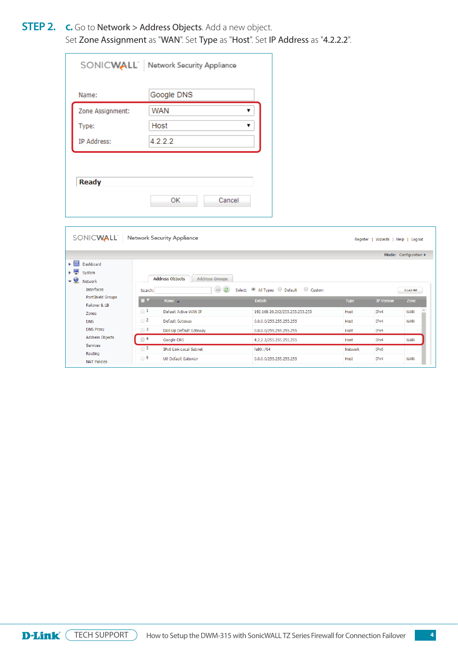**STEP 2. c.** Go to **Network > Address Objects**. Add a new object. Set Zone Assignment as "WAN". Set Type as "Host". Set IP Address as "4.2.2.2". » Set **Zone Assignment** as **"WAN"**

|                    | SONICWALL Network Security Appliance |
|--------------------|--------------------------------------|
| Name:              | Google DNS                           |
| Zone Assignment:   | <b>WAN</b>                           |
| Type:              | Host                                 |
| <b>IP Address:</b> | 4.2.2.2                              |

|                                             |                     |                                                 |                                          |             | Mode: Configuration |                 |
|---------------------------------------------|---------------------|-------------------------------------------------|------------------------------------------|-------------|---------------------|-----------------|
| ► ≃<br>Dashboard                            |                     |                                                 |                                          |             |                     |                 |
| $\blacktriangleright$ $\blacksquare$ System |                     |                                                 |                                          |             |                     |                 |
| $-9$<br>Network                             |                     | <b>Address Objects</b><br><b>Address Groups</b> |                                          |             |                     |                 |
| Interfaces                                  | Search:             | $\circledcirc$                                  | Select: (0) All Types O Default O Custom |             |                     | <b>Load All</b> |
| PortShield Groups                           | $\blacksquare$ #    | Name A                                          | <b>Details</b>                           | <b>Type</b> | <b>IP Version</b>   | Zone            |
| Failover & LB                               | $\Box$ 1            | Default Active WAN IP                           |                                          | Host        | IP <sub>v4</sub>    | <b>WAN</b>      |
| Zones                                       |                     |                                                 | 192.168.20.202/255.255.255.255           |             |                     |                 |
| <b>DNS</b>                                  | $\Box$ 2            | Default Gateway                                 | 0.0.0.0/255.255.255.255                  | Host        | IP <sub>v4</sub>    | <b>WAN</b>      |
|                                             |                     |                                                 |                                          |             | IPv4                |                 |
| <b>DNS Proxy</b>                            | $\Box$ 3            | Dial-Up Default Gateway                         | 0.0.0.0/255.255.255.255                  | Host        |                     |                 |
| Address Objects                             | $\Box$ <sup>4</sup> | Google DNS                                      | 4.2.2.2/255.255.255.255                  | Host        | IP <sub>v4</sub>    | <b>WAN</b>      |
| Services                                    | $\Box$ 5            | IPv6 Link-Local Subnet                          |                                          | Network     | IP <sub>v6</sub>    |                 |
| Routing                                     | $\Box$ 6            | U0 Default Gateway                              | fe80::/64<br>0.0.0.0/255.255.255.255     | Host        | IPv4                | <b>WAN</b>      |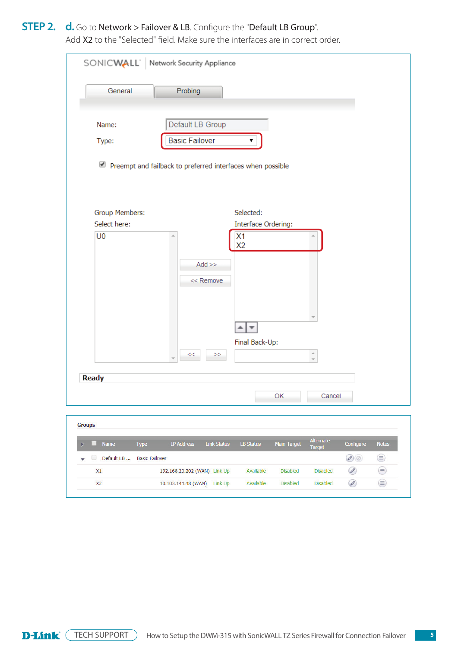# **STEP 2.** d. Go to Network > Failover & LB. Configure the "Default LB Group".

Add X2 to the "Selected" field. Make sure the interfaces are in correct order. » Add **X2** to the "Selected" field. Make sure the interfaces are in correct order.

| SONICWALL Network Security Appliance                                          |                                                                                     |  |  |  |  |  |
|-------------------------------------------------------------------------------|-------------------------------------------------------------------------------------|--|--|--|--|--|
| General<br>Probing                                                            |                                                                                     |  |  |  |  |  |
| Default LB Group<br>Name:<br><b>Basic Failover</b>                            | ▼                                                                                   |  |  |  |  |  |
| Type:<br>$\bullet$ Preempt and failback to preferred interfaces when possible |                                                                                     |  |  |  |  |  |
|                                                                               |                                                                                     |  |  |  |  |  |
| Group Members:                                                                | Selected:                                                                           |  |  |  |  |  |
| Select here:                                                                  | Interface Ordering:                                                                 |  |  |  |  |  |
| $Add \gg$<br><< Remove<br><<<br>>>                                            | X <sub>2</sub><br>▼<br>Final Back-Up:<br>$\triangle$                                |  |  |  |  |  |
| <b>Ready</b>                                                                  |                                                                                     |  |  |  |  |  |
|                                                                               | OK<br>Cancel                                                                        |  |  |  |  |  |
| <b>Groups</b>                                                                 |                                                                                     |  |  |  |  |  |
| Name<br><b>IP Address</b><br><b>Link Status</b><br><b>Type</b><br>×<br>m      | Alternate<br><b>Notes</b><br><b>LB Status</b><br>Main Target<br>Configure<br>Target |  |  |  |  |  |
| Default LB<br><b>Basic Failover</b><br>u                                      | $\mathcal{O}(\varnothing)$<br>⊜                                                     |  |  |  |  |  |
| 192.168.20.202 (WAN) Link Up<br>X1                                            | ⊜<br>$\oslash$<br>Available<br><b>Disabled</b><br><b>Disabled</b>                   |  |  |  |  |  |
| X <sub>2</sub><br>10.103.144.48 (WAN) Link Up                                 | ⊜<br>$\oslash$<br>Available<br><b>Disabled</b><br><b>Disabled</b>                   |  |  |  |  |  |

**D-Link** (TECH SUPPORT) How to Setup the DWM-315 with SonicWALL TZ Series Firewall for Connection Failover 5